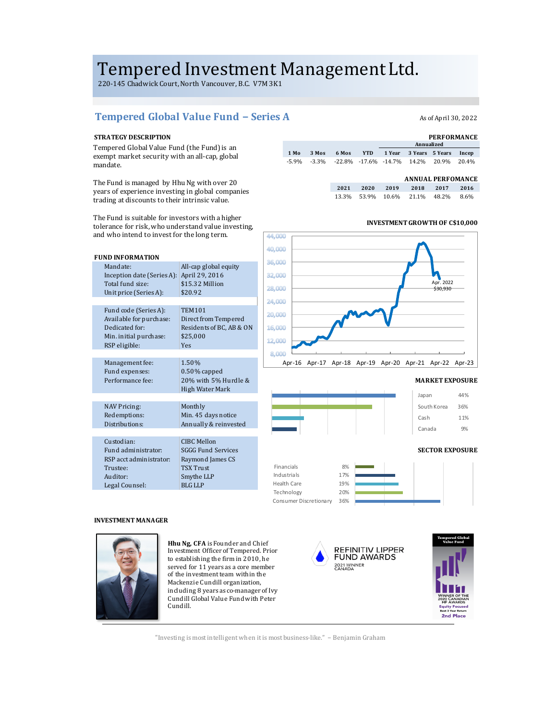# Tempered Investment Management Ltd.

220-145 Chadwick Court, North Vancouver, B.C. V7M 3K1

# Tempered Global Value Fund − Series A Asof April 30, 2022

### **STRATEGY DESCRIPTION**

Tempered Global Value Fund (the Fund) is an exempt market security with an all-cap, global mandate. 

The Fund is managed by Hhu Ng with over 20 years of experience investing in global companies trading at discounts to their intrinsic value.

| <b>PERFORMANCE</b> |       |  |            |  |  |                                                                                                          |  |  |
|--------------------|-------|--|------------|--|--|----------------------------------------------------------------------------------------------------------|--|--|
|                    |       |  | Annualized |  |  |                                                                                                          |  |  |
| 3 Mos              | 6 Mos |  |            |  |  | Incep                                                                                                    |  |  |
|                    |       |  |            |  |  |                                                                                                          |  |  |
|                    |       |  |            |  |  | YTD 1 Year 3 Years 5 Years<br>$-5.9\%$ $-3.3\%$ $-22.8\%$ $-17.6\%$ $-14.7\%$ $14.2\%$ $20.9\%$ $20.4\%$ |  |  |

|      |      |      | <b>ANNUAL PERFOMANCE</b> |       |      |
|------|------|------|--------------------------|-------|------|
| 2021 | 2020 | 2019 | 2018                     | 2017  | 2016 |
|      |      |      | 13.3% 53.9% 10.6% 21.1%  | 48.2% | 8.6% |

The Fund is suitable for investors with a higher tolerance for risk, who understand value investing, and who intend to invest for the long term.

| <b>FUND INFORMATION</b>    |                           |
|----------------------------|---------------------------|
| Mandate:                   | All-cap global equity     |
| Inception date (Series A): | April 29, 2016            |
| Total fund size:           | \$15.32 Million           |
| Unit price (Series A):     | \$20.92                   |
|                            |                           |
| Fund code (Series A):      | <b>TEM101</b>             |
| Available for purchase:    | Direct from Tempered      |
| Dedicated for:             | Residents of BC, AB & ON  |
| Min. initial purchase:     | \$25,000                  |
| RSP eligible:              | Yes                       |
|                            |                           |
| Management fee:            | 1.50%                     |
| Fund expenses:             | $0.50\%$ capped           |
| Performance fee:           | 20% with 5% Hurdle &      |
|                            | High Water Mark           |
|                            |                           |
| <b>NAV Pricing:</b>        | Monthly                   |
| Redemptions:               | Min. 45 days notice       |
| Distributions:             | Annually & reinvested     |
|                            |                           |
| Custodian:                 | CIBC Mellon               |
| Fund administrator:        | <b>SGGG Fund Services</b> |
| RSP acct administrator:    | Raymond James CS          |
| Trustee:                   | <b>TSX Trust</b>          |
| Auditor:                   | Smythe LLP                |
| Legal Counsel:             | <b>BLG LLP</b>            |
|                            |                           |

# **INVESTMENT GROWTH OF C\$10,000**



### **MARKET EXPOSURE**



#### **SECTOR EXPOSURE**



## **INVESTMENT MANAGER**



**Hhu Ng, CFA** is Founder and Chief Investment Officer of Tempered. Prior to establishing the firm in 2010, he served for 11 years as a core member of the investment team within the Mackenzie Cundill organization, including 8 years as co-manager of Ivy Cundill Global Value Fund with Peter Cundill.





"Investing is most intelligent when it is most business-like." - Benjamin Graham